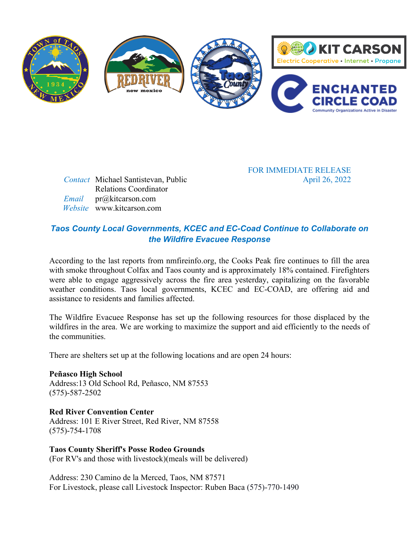

*Contact* Michael Santistevan, Public Relations Coordinator  *Email* pr@kitcarson.com  *Website* www.kitcarson.com

FOR IMMEDIATE RELEASE April 26, 2022

# *Taos County Local Governments, KCEC and EC-Coad Continue to Collaborate on the Wildfire Evacuee Response*

According to the last reports from nmfireinfo.org, the Cooks Peak fire continues to fill the area with smoke throughout Colfax and Taos county and is approximately 18% contained. Firefighters were able to engage aggressively across the fire area yesterday, capitalizing on the favorable weather conditions. Taos local governments, KCEC and EC-COAD, are offering aid and assistance to residents and families affected.

The Wildfire Evacuee Response has set up the following resources for those displaced by the wildfires in the area. We are working to maximize the support and aid efficiently to the needs of the communities.

There are shelters set up at the following locations and are open 24 hours:

**Peñasco High School**  Address:13 Old School Rd, Peñasco, NM 87553 (575)-587-2502

**Red River Convention Center** Address: 101 E River Street, Red River, NM 87558 (575)-754-1708

**Taos County Sheriff's Posse Rodeo Grounds** (For RV's and those with livestock)(meals will be delivered)

Address: 230 Camino de la Merced, Taos, NM 87571 For Livestock, please call Livestock Inspector: Ruben Baca (575)-770-1490